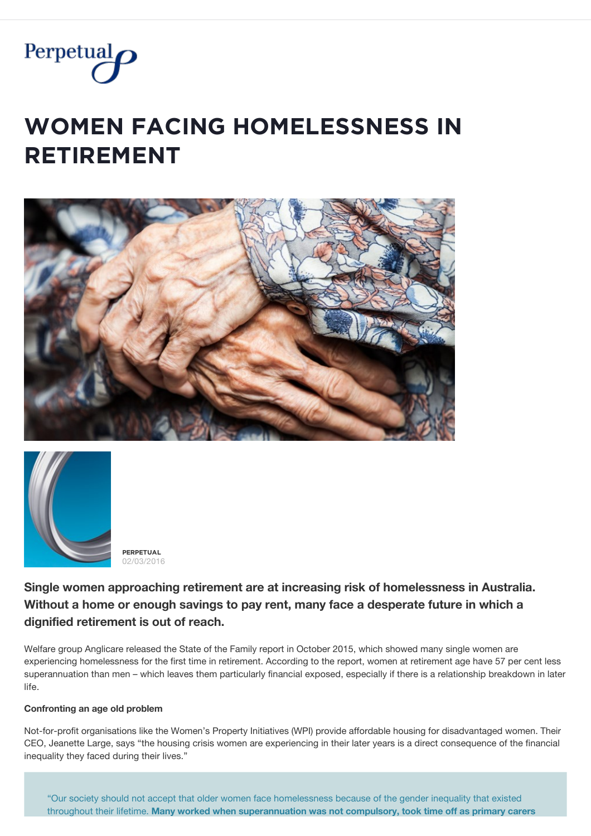

# **WOMEN FACING HOMELESSNESS IN**  $R$ **ETIREMENT**





**PĚŘPĚȚŲǺĿ** 02/03/2016

**Single women approaching retirement are at increasing risk of homelessness in Australia. Without a home or enough savings to pay rent, many face a desperate future in which a dignified retirement is out of reach.**

Welfare group Anglicare released the State of the Family report in October 2015, which showed many single women are experiencing homelessness for the first time in retirement. According to the report, women at retirement age have 57 per cent less superannuation than men – which leaves them particularly financial exposed, especially if there is a relationship breakdown in later life.

## **Confronting an age old problem**

Not-for-profit organisations like the Women's Property Initiatives (WPI) provide affordable housing for disadvantaged women. Their CEO, Jeanette Large, says "the housing crisis women are experiencing in their later years is a direct consequence of the financial inequality they faced during their lives."

"Our society should not accept that older women face homelessness because of the gender inequality that existed throughout their lifetime. **Many worked when superannuation was not compulsory, took time off as primary carers**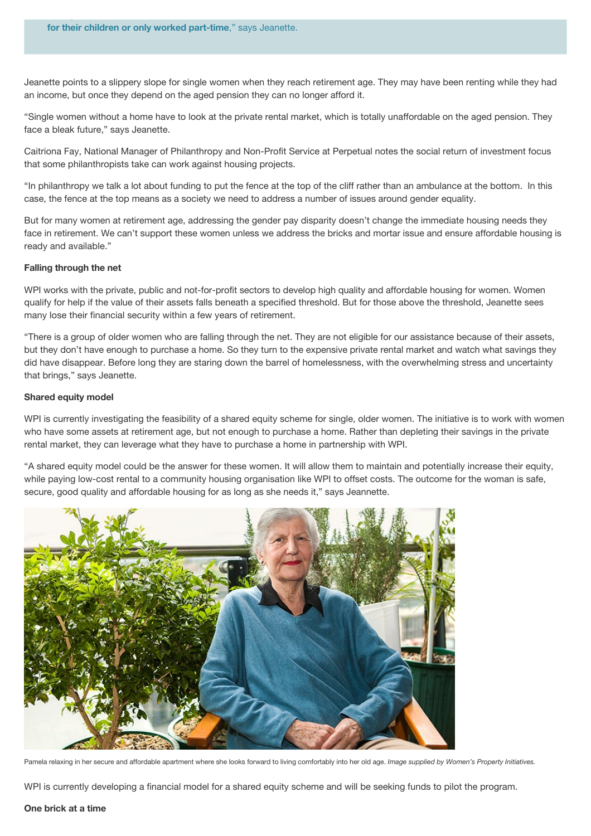Jeanette points to a slippery slope for single women when they reach retirement age. They may have been renting while they had an income, but once they depend on the aged pension they can no longer afford it.

throughout their lifetime. **Many worked when superannuation was not compulsory, took time off as primary carers**

"Single women without a home have to look at the private rental market, which is totally unaffordable on the aged pension. They face a bleak future," says Jeanette.

Caitriona Fay, National Manager of Philanthropy and Non-Profit Service at Perpetual notes the social return of investment focus that some philanthropists take can work against housing projects.

"In philanthropy we talk a lot about funding to put the fence at the top of the cliff rather than an ambulance at the bottom. In this case, the fence at the top means as a society we need to address a number of issues around gender equality.

But for many women at retirement age, addressing the gender pay disparity doesn't change the immediate housing needs they face in retirement. We can't support these women unless we address the bricks and mortar issue and ensure affordable housing is ready and available."

### **Falling through the net**

WPI works with the private, public and not-for-profit sectors to develop high quality and affordable housing for women. Women qualify for help if the value of their assets falls beneath a specified threshold. But for those above the threshold, Jeanette sees many lose their financial security within a few years of retirement.

"There is a group of older women who are falling through the net. They are not eligible for our assistance because of their assets, but they don't have enough to purchase a home. So they turn to the expensive private rental market and watch what savings they did have disappear. Before long they are staring down the barrel of homelessness, with the overwhelming stress and uncertainty that brings," says Jeanette.

### **Shared equity model**

WPI is currently investigating the feasibility of a shared equity scheme for single, older women. The initiative is to work with women who have some assets at retirement age, but not enough to purchase a home. Rather than depleting their savings in the private rental market, they can leverage what they have to purchase a home in partnership with WPI.

"A shared equity model could be the answer for these women. It will allow them to maintain and potentially increase their equity, while paying low-cost rental to a community housing organisation like WPI to offset costs. The outcome for the woman is safe, secure, good quality and affordable housing for as long as she needs it," says Jeannette.



Pamela relaxing in her secure and affordable apartment where she looks forward to living comfortably into her old age. *Image supplied by Women's Property Initiatives.*

WPI is currently developing a financial model for a shared equity scheme and will be seeking funds to pilot the program.

### **One brick at a time**